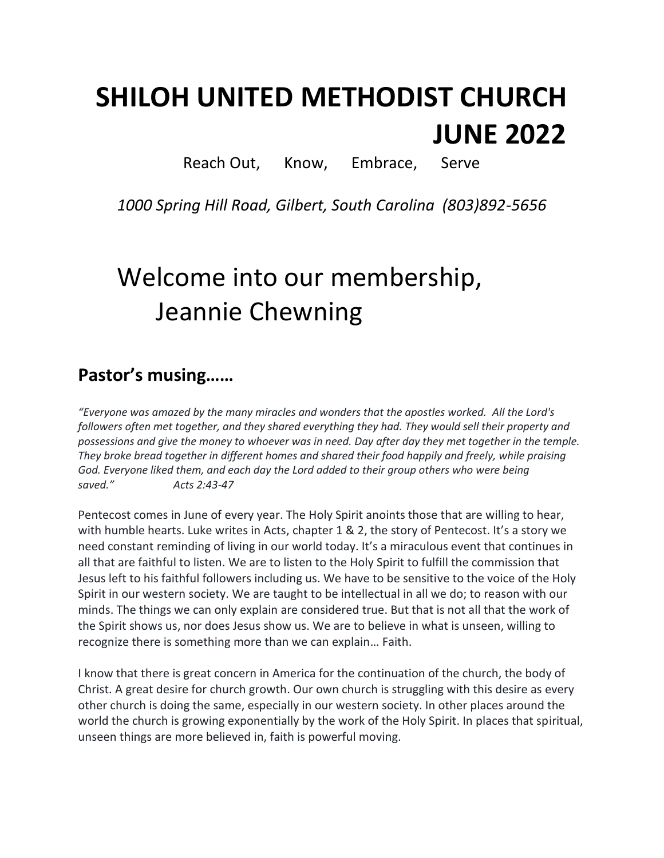# **SHILOH UNITED METHODIST CHURCH JUNE 2022**

Reach Out, Know, Embrace, Serve

*1000 Spring Hill Road, Gilbert, South Carolina (803)892-5656*

# Welcome into our membership, Jeannie Chewning

### **Pastor's musing……**

*"Everyone was amazed by the many miracles and wonders that the apostles worked. All the Lord's*  followers often met together, and they shared everything they had. They would sell their property and *possessions and give the money to whoever was in need. Day after day they met together in the temple. They broke bread together in different homes and shared their food happily and freely, while praising God. Everyone liked them, and each day the Lord added to their group others who were being saved." Acts 2:43-47*

Pentecost comes in June of every year. The Holy Spirit anoints those that are willing to hear, with humble hearts. Luke writes in Acts, chapter 1 & 2, the story of Pentecost. It's a story we need constant reminding of living in our world today. It's a miraculous event that continues in all that are faithful to listen. We are to listen to the Holy Spirit to fulfill the commission that Jesus left to his faithful followers including us. We have to be sensitive to the voice of the Holy Spirit in our western society. We are taught to be intellectual in all we do; to reason with our minds. The things we can only explain are considered true. But that is not all that the work of the Spirit shows us, nor does Jesus show us. We are to believe in what is unseen, willing to recognize there is something more than we can explain… Faith.

I know that there is great concern in America for the continuation of the church, the body of Christ. A great desire for church growth. Our own church is struggling with this desire as every other church is doing the same, especially in our western society. In other places around the world the church is growing exponentially by the work of the Holy Spirit. In places that spiritual, unseen things are more believed in, faith is powerful moving.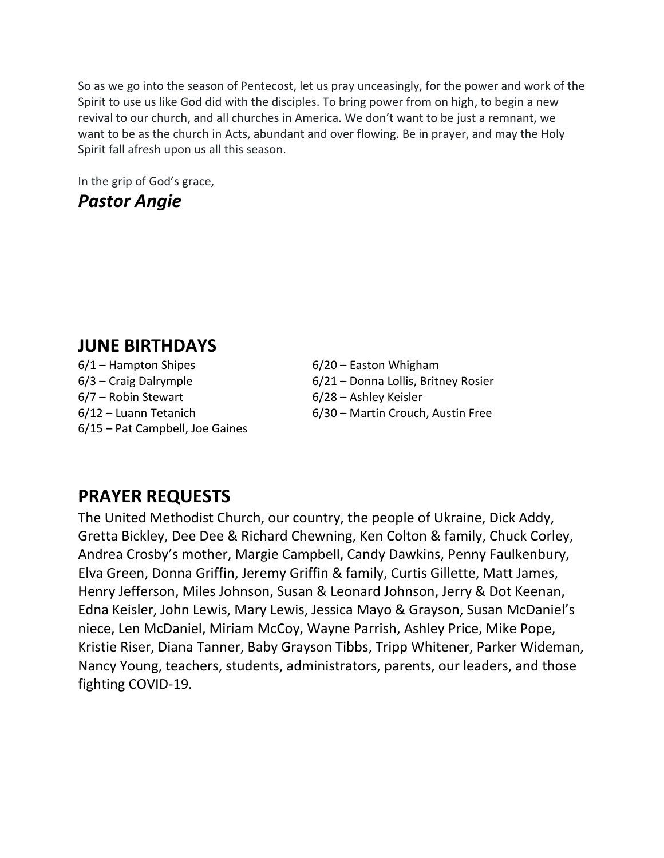So as we go into the season of Pentecost, let us pray unceasingly, for the power and work of the Spirit to use us like God did with the disciples. To bring power from on high, to begin a new revival to our church, and all churches in America. We don't want to be just a remnant, we want to be as the church in Acts, abundant and over flowing. Be in prayer, and may the Holy Spirit fall afresh upon us all this season.

In the grip of God's grace,

### *Pastor Angie*

### **JUNE BIRTHDAYS**

 $6/1$  – Hampton Shipes 6/20 – Easton Whigham 6/7 – Robin Stewart 6/28 – Ashley Keisler 6/15 – Pat Campbell, Joe Gaines

6/3 – Craig Dalrymple 6/21 – Donna Lollis, Britney Rosier 6/12 – Luann Tetanich 6/30 – Martin Crouch, Austin Free

## **PRAYER REQUESTS**

The United Methodist Church, our country, the people of Ukraine, Dick Addy, Gretta Bickley, Dee Dee & Richard Chewning, Ken Colton & family, Chuck Corley, Andrea Crosby's mother, Margie Campbell, Candy Dawkins, Penny Faulkenbury, Elva Green, Donna Griffin, Jeremy Griffin & family, Curtis Gillette, Matt James, Henry Jefferson, Miles Johnson, Susan & Leonard Johnson, Jerry & Dot Keenan, Edna Keisler, John Lewis, Mary Lewis, Jessica Mayo & Grayson, Susan McDaniel's niece, Len McDaniel, Miriam McCoy, Wayne Parrish, Ashley Price, Mike Pope, Kristie Riser, Diana Tanner, Baby Grayson Tibbs, Tripp Whitener, Parker Wideman, Nancy Young, teachers, students, administrators, parents, our leaders, and those fighting COVID-19.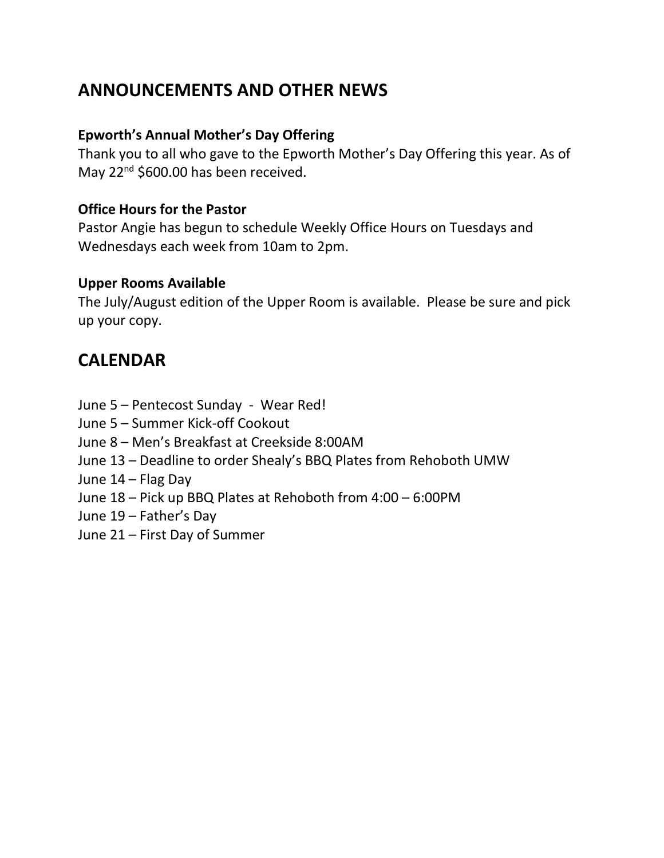### **ANNOUNCEMENTS AND OTHER NEWS**

#### **Epworth's Annual Mother's Day Offering**

Thank you to all who gave to the Epworth Mother's Day Offering this year. As of May 22<sup>nd</sup> \$600.00 has been received.

#### **Office Hours for the Pastor**

Pastor Angie has begun to schedule Weekly Office Hours on Tuesdays and Wednesdays each week from 10am to 2pm.

#### **Upper Rooms Available**

The July/August edition of the Upper Room is available. Please be sure and pick up your copy.

### **CALENDAR**

- June 5 Pentecost Sunday Wear Red!
- June 5 Summer Kick-off Cookout
- June 8 Men's Breakfast at Creekside 8:00AM
- June 13 Deadline to order Shealy's BBQ Plates from Rehoboth UMW
- June 14 Flag Day
- June 18 Pick up BBQ Plates at Rehoboth from 4:00 6:00PM
- June 19 Father's Day
- June 21 First Day of Summer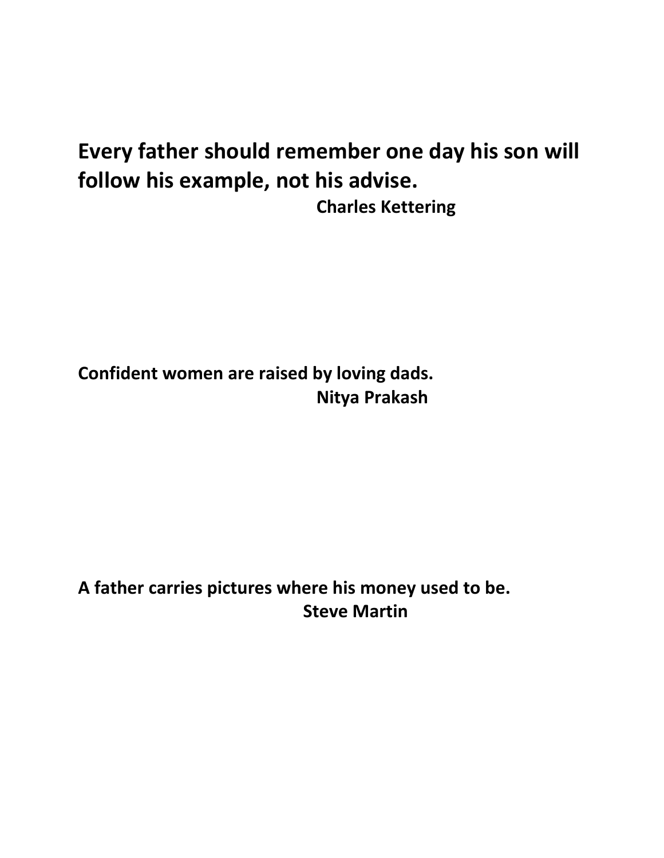# **Every father should remember one day his son will follow his example, not his advise. Charles Kettering**

**Confident women are raised by loving dads. Nitya Prakash**

## **A father carries pictures where his money used to be. Steve Martin**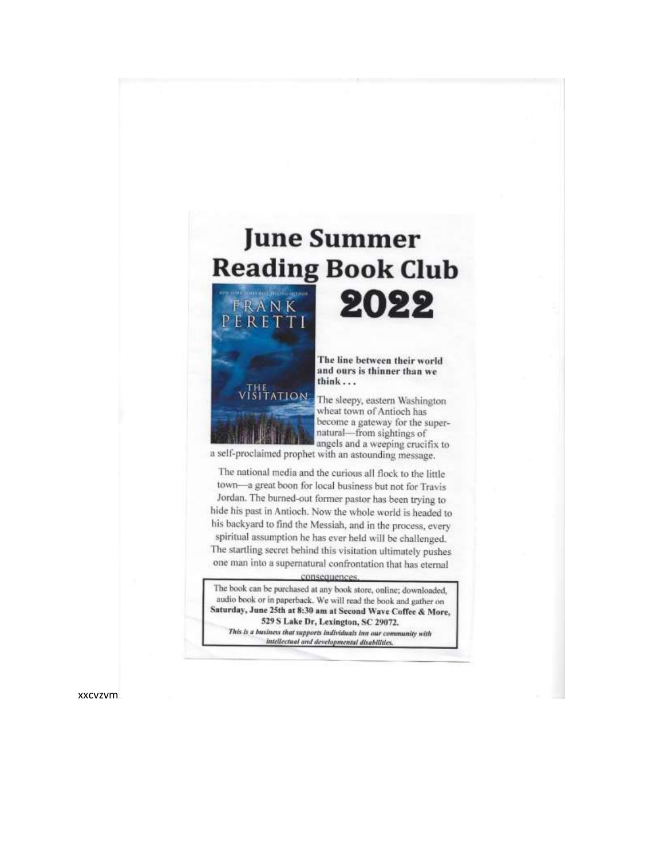

one man into a supernatural confrontation that has eternal

The book can be purchased at any book store, online; downloaded, audio book or in paperback. We will read the book and gather on Saturday, June 25th at 8:30 am at Second Wave Coffee & More, 529 S Lake Dr, Lexington, SC 29072.

This is a business that supports individuals inn our community with intellectual and developmental disabilities.

**xxcvzvm**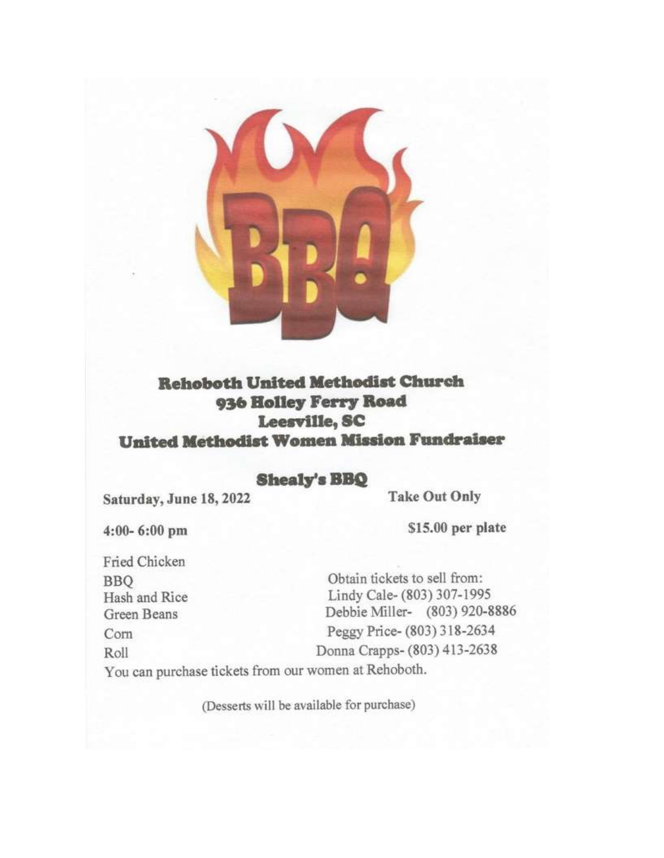

### **Rehoboth United Methodist Church** 936 Holley Ferry Road Leesville, SC **United Methodist Women Mission Fundraiser**

#### **Shealy's BBQ**

Saturday, June 18, 2022

**Take Out Only** 

 $4:00 - 6:00$  pm

\$15.00 per plate

Fried Chicken **BBO** Hash and Rice Green Beans Corn Roll

Obtain tickets to sell from: Lindy Cale- (803) 307-1995 Debbie Miller- (803) 920-8886 Peggy Price- (803) 318-2634 Donna Crapps- (803) 413-2638

You can purchase tickets from our women at Rehoboth.

(Desserts will be available for purchase)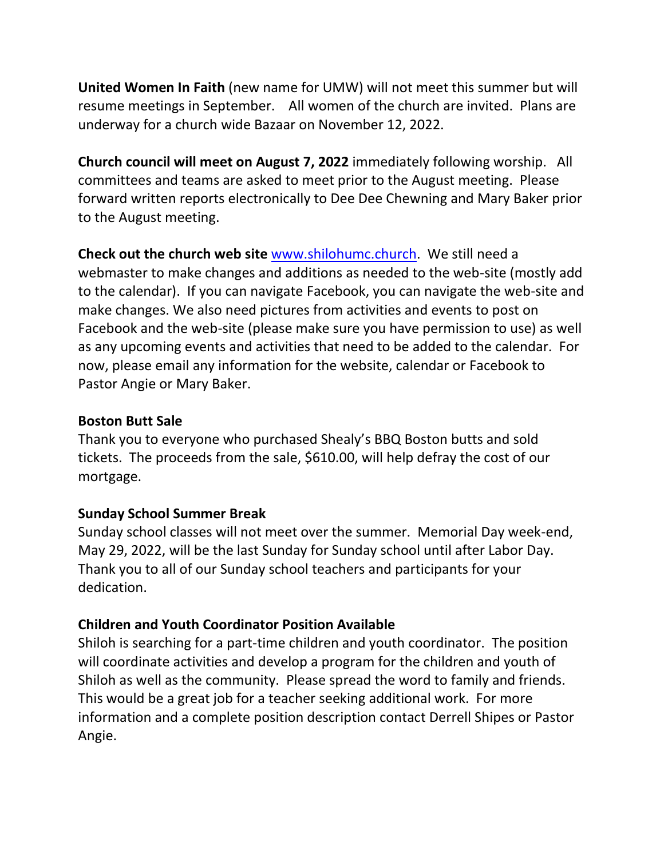**United Women In Faith** (new name for UMW) will not meet this summer but will resume meetings in September. All women of the church are invited. Plans are underway for a church wide Bazaar on November 12, 2022.

**Church council will meet on August 7, 2022** immediately following worship. All committees and teams are asked to meet prior to the August meeting. Please forward written reports electronically to Dee Dee Chewning and Mary Baker prior to the August meeting.

**Check out the church web site** [www.shilohumc.church.](http://www.shilohumc.church/) We still need a webmaster to make changes and additions as needed to the web-site (mostly add to the calendar). If you can navigate Facebook, you can navigate the web-site and make changes. We also need pictures from activities and events to post on Facebook and the web-site (please make sure you have permission to use) as well as any upcoming events and activities that need to be added to the calendar. For now, please email any information for the website, calendar or Facebook to Pastor Angie or Mary Baker.

#### **Boston Butt Sale**

Thank you to everyone who purchased Shealy's BBQ Boston butts and sold tickets. The proceeds from the sale, \$610.00, will help defray the cost of our mortgage.

#### **Sunday School Summer Break**

Sunday school classes will not meet over the summer. Memorial Day week-end, May 29, 2022, will be the last Sunday for Sunday school until after Labor Day. Thank you to all of our Sunday school teachers and participants for your dedication.

#### **Children and Youth Coordinator Position Available**

Shiloh is searching for a part-time children and youth coordinator. The position will coordinate activities and develop a program for the children and youth of Shiloh as well as the community. Please spread the word to family and friends. This would be a great job for a teacher seeking additional work. For more information and a complete position description contact Derrell Shipes or Pastor Angie.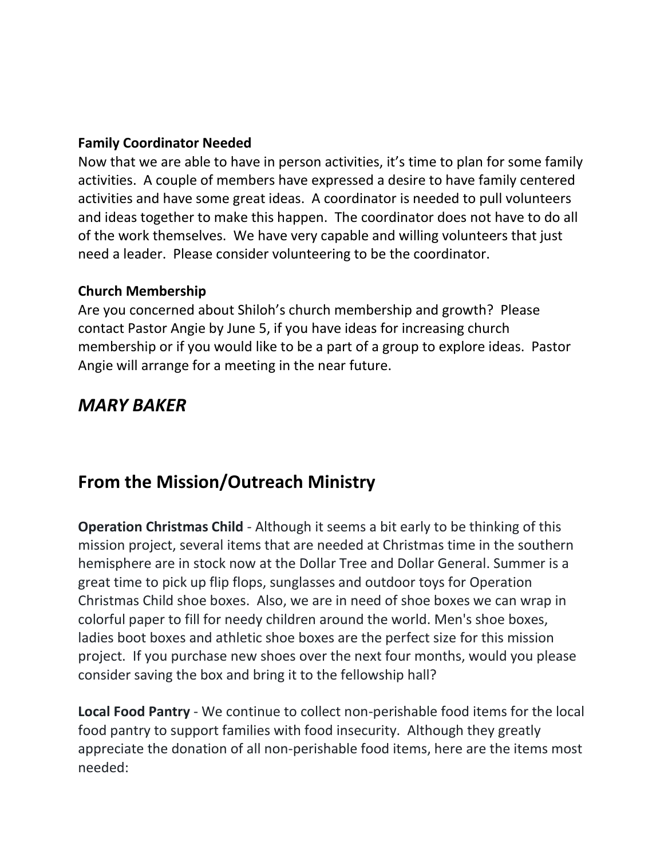#### **Family Coordinator Needed**

Now that we are able to have in person activities, it's time to plan for some family activities. A couple of members have expressed a desire to have family centered activities and have some great ideas. A coordinator is needed to pull volunteers and ideas together to make this happen. The coordinator does not have to do all of the work themselves. We have very capable and willing volunteers that just need a leader. Please consider volunteering to be the coordinator.

#### **Church Membership**

Are you concerned about Shiloh's church membership and growth? Please contact Pastor Angie by June 5, if you have ideas for increasing church membership or if you would like to be a part of a group to explore ideas. Pastor Angie will arrange for a meeting in the near future.

### *MARY BAKER*

### **From the Mission/Outreach Ministry**

**Operation Christmas Child** - Although it seems a bit early to be thinking of this mission project, several items that are needed at Christmas time in the southern hemisphere are in stock now at the Dollar Tree and Dollar General. Summer is a great time to pick up flip flops, sunglasses and outdoor toys for Operation Christmas Child shoe boxes. Also, we are in need of shoe boxes we can wrap in colorful paper to fill for needy children around the world. Men's shoe boxes, ladies boot boxes and athletic shoe boxes are the perfect size for this mission project. If you purchase new shoes over the next four months, would you please consider saving the box and bring it to the fellowship hall?

**Local Food Pantry** - We continue to collect non-perishable food items for the local food pantry to support families with food insecurity. Although they greatly appreciate the donation of all non-perishable food items, here are the items most needed: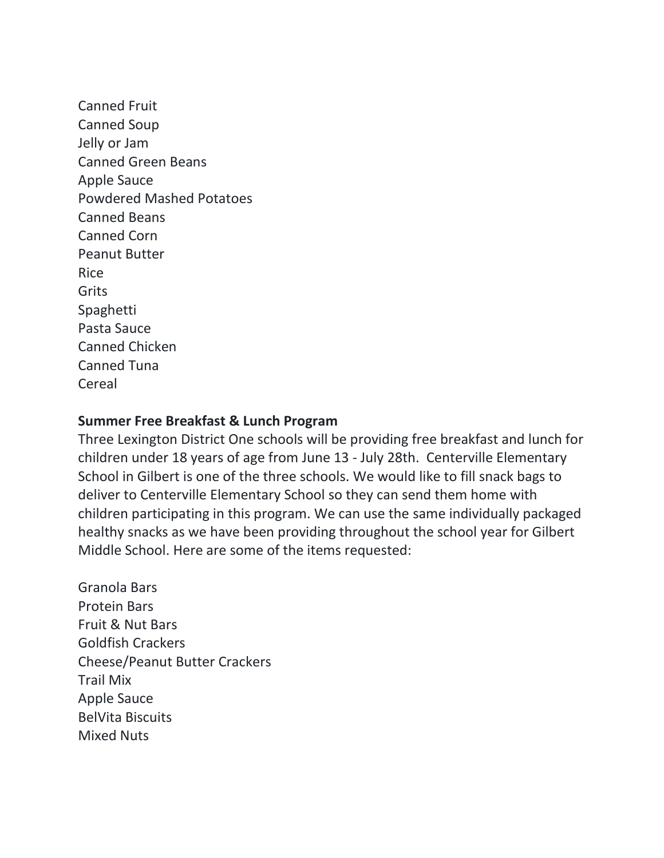Canned Fruit Canned Soup Jelly or Jam Canned Green Beans Apple Sauce Powdered Mashed Potatoes Canned Beans Canned Corn Peanut Butter Rice Grits Spaghetti Pasta Sauce Canned Chicken Canned Tuna Cereal

#### **Summer Free Breakfast & Lunch Program**

Three Lexington District One schools will be providing free breakfast and lunch for children under 18 years of age from June 13 - July 28th. Centerville Elementary School in Gilbert is one of the three schools. We would like to fill snack bags to deliver to Centerville Elementary School so they can send them home with children participating in this program. We can use the same individually packaged healthy snacks as we have been providing throughout the school year for Gilbert Middle School. Here are some of the items requested:

Granola Bars Protein Bars Fruit & Nut Bars Goldfish Crackers Cheese/Peanut Butter Crackers Trail Mix Apple Sauce BelVita Biscuits Mixed Nuts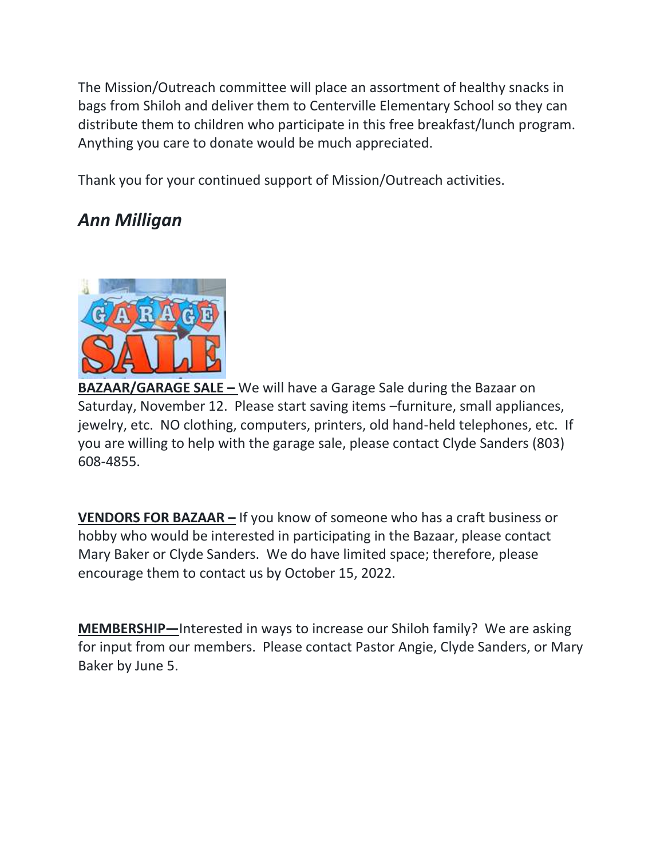The Mission/Outreach committee will place an assortment of healthy snacks in bags from Shiloh and deliver them to Centerville Elementary School so they can distribute them to children who participate in this free breakfast/lunch program. Anything you care to donate would be much appreciated.

Thank you for your continued support of Mission/Outreach activities.

## *Ann Milligan*



**BAZAAR/GARAGE SALE –** We will have a Garage Sale during the Bazaar on Saturday, November 12. Please start saving items –furniture, small appliances, jewelry, etc. NO clothing, computers, printers, old hand-held telephones, etc. If you are willing to help with the garage sale, please contact Clyde Sanders (803) 608-4855.

**VENDORS FOR BAZAAR –** If you know of someone who has a craft business or hobby who would be interested in participating in the Bazaar, please contact Mary Baker or Clyde Sanders. We do have limited space; therefore, please encourage them to contact us by October 15, 2022.

**MEMBERSHIP—**Interested in ways to increase our Shiloh family? We are asking for input from our members. Please contact Pastor Angie, Clyde Sanders, or Mary Baker by June 5.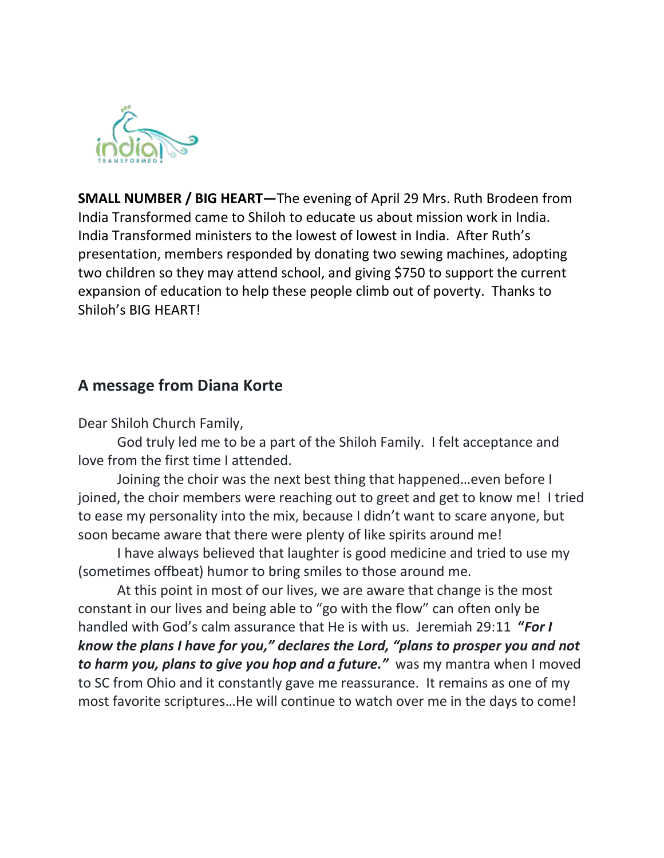

**SMALL NUMBER / BIG HEART—**The evening of April 29 Mrs. Ruth Brodeen from India Transformed came to Shiloh to educate us about mission work in India. India Transformed ministers to the lowest of lowest in India. After Ruth's presentation, members responded by donating two sewing machines, adopting two children so they may attend school, and giving \$750 to support the current expansion of education to help these people climb out of poverty. Thanks to Shiloh's BIG HEART!

#### **A message from Diana Korte**

Dear Shiloh Church Family,

God truly led me to be a part of the Shiloh Family. I felt acceptance and love from the first time I attended.

Joining the choir was the next best thing that happened…even before I joined, the choir members were reaching out to greet and get to know me! I tried to ease my personality into the mix, because I didn't want to scare anyone, but soon became aware that there were plenty of like spirits around me!

I have always believed that laughter is good medicine and tried to use my (sometimes offbeat) humor to bring smiles to those around me.

At this point in most of our lives, we are aware that change is the most constant in our lives and being able to "go with the flow" can often only be handled with God's calm assurance that He is with us. Jeremiah 29:11 **"***For I know the plans I have for you," declares the Lord, "plans to prosper you and not to harm you, plans to give you hop and a future."* was my mantra when I moved to SC from Ohio and it constantly gave me reassurance. It remains as one of my most favorite scriptures…He will continue to watch over me in the days to come!